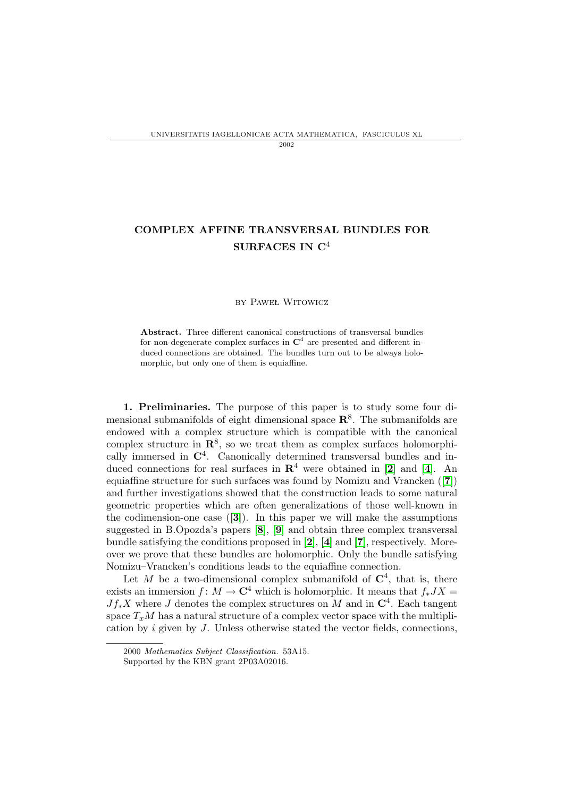## COMPLEX AFFINE TRANSVERSAL BUNDLES FOR SURFACES IN C<sup>4</sup>

## by Paweł Witowicz

Abstract. Three different canonical constructions of transversal bundles for non-degenerate complex surfaces in  $\mathbb{C}^4$  are presented and different induced connections are obtained. The bundles turn out to be always holomorphic, but only one of them is equiaffine.

1. Preliminaries. The purpose of this paper is to study some four dimensional submanifolds of eight dimensional space  $\mathbb{R}^8$ . The submanifolds are endowed with a complex structure which is compatible with the canonical complex structure in  $\mathbb{R}^8$ , so we treat them as complex surfaces holomorphically immersed in  $\mathbb{C}^4$ . Canonically determined transversal bundles and induced connections for real surfaces in  $\mathbb{R}^4$  $\mathbb{R}^4$  were obtained in [[2](#page-19-0)] and [4]. An equiaffine structure for such surfaces was found by Nomizu and Vrancken ([[7](#page-19-2)]) and further investigations showed that the construction leads to some natural geometric properties which are often generalizations of those well-known in the codimension-one case  $([3])$  $([3])$  $([3])$ . In this paper we will make the assumptions suggested in B.Opozda's papers [[8](#page-19-4)], [[9](#page-19-5)] and obtain three complex transversal bundle satisfying the conditions proposed in [[2](#page-19-0)], [[4](#page-19-1)] and [[7](#page-19-2)], respectively. Moreover we prove that these bundles are holomorphic. Only the bundle satisfying Nomizu–Vrancken's conditions leads to the equiaffine connection.

Let M be a two-dimensional complex submanifold of  $\mathbb{C}^4$ , that is, there exists an immersion  $f: M \to \mathbb{C}^4$  which is holomorphic. It means that  $f_* J X =$  $Jf_*X$  where J denotes the complex structures on M and in  $\mathbb{C}^4$ . Each tangent space  $T_xM$  has a natural structure of a complex vector space with the multiplication by i given by J. Unless otherwise stated the vector fields, connections,

<sup>2000</sup> Mathematics Subject Classification. 53A15.

Supported by the KBN grant 2P03A02016.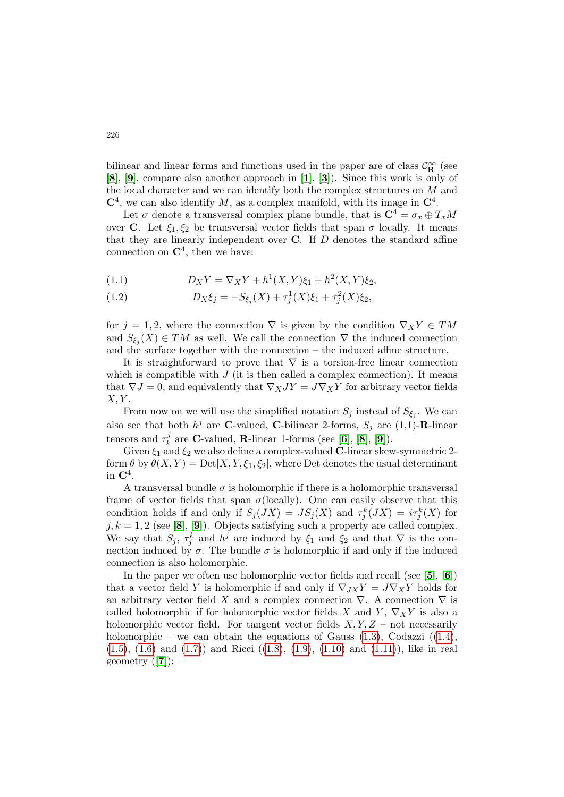bilinear and linear forms and functions used in the paper are of class  $\mathcal{C}^\infty_\mathbf{R}$  (see [[8](#page-19-4)], [[9](#page-19-5)], compare also another approach in [[1](#page-19-6)], [[3](#page-19-3)]). Since this work is only of the local character and we can identify both the complex structures on M and  $\mathbb{C}^4$ , we can also identify M, as a complex manifold, with its image in  $\mathbb{C}^4$ .

Let  $\sigma$  denote a transversal complex plane bundle, that is  $\mathbf{C}^4 = \sigma_x \oplus T_x M$ over C. Let  $\xi_1, \xi_2$  be transversal vector fields that span  $\sigma$  locally. It means that they are linearly independent over  $C$ . If  $D$  denotes the standard affine connection on  $\mathbb{C}^4$ , then we have:

<span id="page-1-0"></span>(1.1) 
$$
D_X Y = \nabla_X Y + h^1(X, Y) \xi_1 + h^2(X, Y) \xi_2,
$$

<span id="page-1-1"></span>(1.2) 
$$
D_X \xi_j = -S_{\xi_j}(X) + \tau_j^1(X)\xi_1 + \tau_j^2(X)\xi_2,
$$

for  $j = 1, 2$ , where the connection  $\nabla$  is given by the condition  $\nabla_X Y \in TM$ and  $S_{\xi_j}(X) \in TM$  as well. We call the connection  $\nabla$  the induced connection and the surface together with the connection – the induced affine structure.

It is straightforward to prove that  $\nabla$  is a torsion-free linear connection which is compatible with  $J$  (it is then called a complex connection). It means that  $\nabla J = 0$ , and equivalently that  $\nabla_X JY = J\nabla_X Y$  for arbitrary vector fields  $X, Y$ .

From now on we will use the simplified notation  $S_j$  instead of  $S_{\xi_j}$ . We can also see that both  $h^j$  are **C**-valued, **C**-bilinear 2-forms,  $S_j$  are  $(1,1)$ -**R**-linear tensors and  $\tau_k^j$  $\frac{J}{k}$  are **C**-valued, **R**-linear 1-forms (see [[6](#page-19-7)], [[8](#page-19-4)], [[9](#page-19-5)]).

Given  $\xi_1$  and  $\xi_2$  we also define a complex-valued **C**-linear skew-symmetric 2form  $\theta$  by  $\theta(X, Y) = \text{Det}[X, Y, \xi_1, \xi_2]$ , where Det denotes the usual determinant in  $\mathbf{C}^4$ .

A transversal bundle  $\sigma$  is holomorphic if there is a holomorphic transversal frame of vector fields that span  $\sigma$ (locally). One can easily observe that this condition holds if and only if  $S_j(JX) = JS_j(X)$  and  $\tau_j^k(JX) = i\tau_j^k(X)$  for  $j, k = 1, 2$  (see [[8](#page-19-4)], [[9](#page-19-5)]). Objects satisfying such a property are called complex. We say that  $S_j$ ,  $\tau_j^k$  and  $h^j$  are induced by  $\xi_1$  and  $\xi_2$  and that  $\nabla$  is the connection induced by  $\sigma$ . The bundle  $\sigma$  is holomorphic if and only if the induced connection is also holomorphic.

In the paper we often use holomorphic vector fields and recall (see  $[5]$  $[5]$  $[5]$ ,  $[6]$  $[6]$  $[6]$ ) that a vector field Y is holomorphic if and only if  $\nabla_{JX}Y = J\nabla_XY$  holds for an arbitrary vector field X and a complex connection  $\nabla$ . A connection  $\nabla$  is called holomorphic if for holomorphic vector fields X and Y,  $\nabla_X Y$  is also a holomorphic vector field. For tangent vector fields  $X, Y, Z$  – not necessarily holomorphic – we can obtain the equations of Gauss  $(1.3)$ , Codazzi  $((1.4)$  $((1.4)$ ,  $(1.5)$ ,  $(1.6)$  and  $(1.7)$  and Ricci  $((1.8), (1.9), (1.10)$  $((1.8), (1.9), (1.10)$  $((1.8), (1.9), (1.10)$  $((1.8), (1.9), (1.10)$  $((1.8), (1.9), (1.10)$  $((1.8), (1.9), (1.10)$  and  $(1.11)$ , like in real geometry ([[7](#page-19-2)]):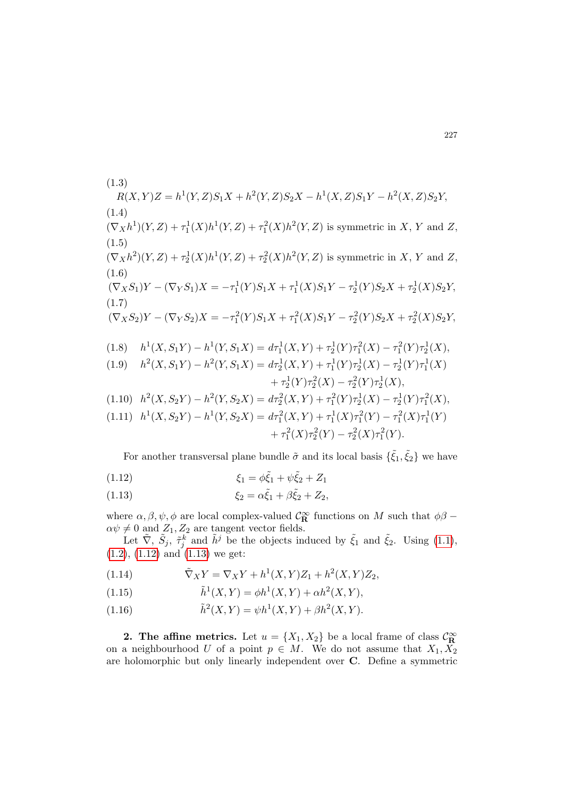<span id="page-2-4"></span><span id="page-2-3"></span><span id="page-2-2"></span><span id="page-2-1"></span><span id="page-2-0"></span>(1.3)  
\n
$$
R(X,Y)Z = h^{1}(Y,Z)S_{1}X + h^{2}(Y,Z)S_{2}X - h^{1}(X,Z)S_{1}Y - h^{2}(X,Z)S_{2}Y,
$$
\n(1.4)  
\n
$$
(\nabla_{X}h^{1})(Y,Z) + \tau_{1}^{1}(X)h^{1}(Y,Z) + \tau_{1}^{2}(X)h^{2}(Y,Z)
$$
 is symmetric in X, Y and Z,  
\n(1.5)  
\n
$$
(\nabla_{X}h^{2})(Y,Z) + \tau_{2}^{1}(X)h^{1}(Y,Z) + \tau_{2}^{2}(X)h^{2}(Y,Z)
$$
 is symmetric in X, Y and Z,  
\n(1.6)  
\n
$$
(\nabla_{X}S_{1})Y - (\nabla_{Y}S_{1})X = -\tau_{1}^{1}(Y)S_{1}X + \tau_{1}^{1}(X)S_{1}Y - \tau_{2}^{1}(Y)S_{2}X + \tau_{2}^{1}(X)S_{2}Y,
$$
\n(1.7)  
\n
$$
(\nabla_{X}S_{2})Y - (\nabla_{Y}S_{2})X = -\tau_{1}^{2}(Y)S_{1}X + \tau_{1}^{2}(X)S_{1}Y - \tau_{2}^{2}(Y)S_{2}X + \tau_{2}^{2}(X)S_{2}Y,
$$
\n(1.8)  
\n
$$
h^{1}(X, S_{1}Y) - h^{1}(Y, S_{1}X) = d\tau_{1}^{1}(X, Y) + \tau_{2}^{1}(Y)\tau_{1}^{2}(X) - \tau_{1}^{2}(Y)\tau_{2}^{1}(X),
$$
\n(1.9)  
\n
$$
h^{2}(X, S_{1}Y) - h^{2}(Y, S_{1}X) = d\tau_{2}^{1}(X, Y) + \tau_{1}^{1}(Y)\tau_{2}^{1}(X) - \tau_{2}^{1}(Y)\tau_{1}^{1}(X) + \tau_{2}^{1}(Y)\tau_{2}^{2}(X) - \tau_{2}^{2}(Y)\tau_{2}^{1}(X),
$$
\n(1.10)  
\n
$$
h^{2}(X, S_{2}Y) - h^{2}(Y, S_{2}X) = d\tau_{2}^{2}(X, Y) + \tau_{1}^{2}(Y)\tau_{2}^{1}(X) - \tau_{2}^{1}(Y
$$

<span id="page-2-8"></span><span id="page-2-7"></span><span id="page-2-6"></span><span id="page-2-5"></span>For another transversal plane bundle  $\tilde{\sigma}$  and its local basis  $\{\tilde{\xi}_1, \tilde{\xi}_2\}$  we have

<span id="page-2-9"></span>(1.12) 
$$
\xi_1 = \phi \tilde{\xi}_1 + \psi \tilde{\xi}_2 + Z_1
$$

<span id="page-2-10"></span>(1.13) 
$$
\xi_2 = \alpha \tilde{\xi}_1 + \beta \tilde{\xi}_2 + Z_2,
$$

where  $\alpha, \beta, \psi, \phi$  are local complex-valued  $\mathcal{C}_{\mathbf{R}}^{\infty}$  functions on  $M$  such that  $\phi\beta$  –  $\alpha \psi \neq 0$  and  $Z_1, Z_2$  are tangent vector fields.

Let  $\tilde{\nabla}$ ,  $\tilde{S}_j$ ,  $\tilde{\tau}_j^k$  and  $\tilde{h}^j$  be the objects induced by  $\tilde{\xi}_1$  and  $\tilde{\xi}_2$ . Using [\(1.1\)](#page-1-0),  $(1.2), (1.12)$  $(1.2), (1.12)$  $(1.2), (1.12)$  and  $(1.13)$  we get:

<span id="page-2-13"></span>(1.14) 
$$
\tilde{\nabla}_X Y = \nabla_X Y + h^1(X, Y) Z_1 + h^2(X, Y) Z_2,
$$

<span id="page-2-11"></span>(1.15) 
$$
\tilde{h}^{1}(X, Y) = \phi h^{1}(X, Y) + \alpha h^{2}(X, Y),
$$

<span id="page-2-12"></span>(1.16) 
$$
\tilde{h}^{2}(X,Y) = \psi h^{1}(X,Y) + \beta h^{2}(X,Y).
$$

**2. The affine metrics.** Let  $u = \{X_1, X_2\}$  be a local frame of class  $\mathcal{C}_{\mathbb{R}}^{\infty}$  on a neighbourhood U of a point  $p \in M$ . We do not assume that  $X_1, X_2$ are holomorphic but only linearly independent over C. Define a symmetric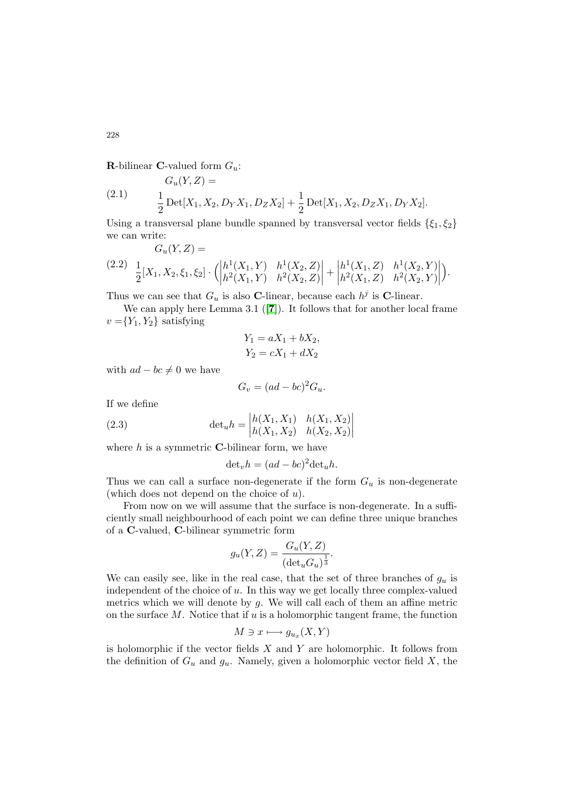**R**-bilinear **C**-valued form  $G_u$ :

(2.1) 
$$
G_u(Y, Z) =
$$

$$
\frac{1}{2} \operatorname{Det}[X_1, X_2, D_Y X_1, D_Z X_2] + \frac{1}{2} \operatorname{Det}[X_1, X_2, D_Z X_1, D_Y X_2].
$$

Using a transversal plane bundle spanned by transversal vector fields  $\{\xi_1, \xi_2\}$ we can write:  $G(X, B)$ 

<span id="page-3-0"></span>
$$
(2.2) \frac{1}{2}[X_1, X_2, \xi_1, \xi_2] \cdot \left( \begin{vmatrix} h^1(X_1, Y) & h^1(X_2, Z) \\ h^2(X_1, Y) & h^2(X_2, Z) \end{vmatrix} + \begin{vmatrix} h^1(X_1, Z) & h^1(X_2, Y) \\ h^2(X_1, Z) & h^2(X_2, Y) \end{vmatrix} \right).
$$

Thus we can see that  $G_u$  is also C-linear, because each  $h^j$  is C-linear.

We can apply here Lemma 3.1 ([[7](#page-19-2)]). It follows that for another local frame  $v = {Y_1, Y_2}$  satisfying

$$
Y_1 = aX_1 + bX_2,
$$
  

$$
Y_2 = cX_1 + dX_2
$$

with  $ad - bc \neq 0$  we have

$$
G_v = (ad - bc)^2 G_u.
$$

If we define

(2.3) 
$$
\det_{u} h = \begin{vmatrix} h(X_1, X_1) & h(X_1, X_2) \\ h(X_1, X_2) & h(X_2, X_2) \end{vmatrix}
$$

where  $h$  is a symmetric **C**-bilinear form, we have

$$
\det_v h = (ad - bc)^2 \det_u h.
$$

Thus we can call a surface non-degenerate if the form  $G_u$  is non-degenerate (which does not depend on the choice of  $u$ ).

From now on we will assume that the surface is non-degenerate. In a sufficiently small neighbourhood of each point we can define three unique branches of a C-valued, C-bilinear symmetric form

$$
g_u(Y, Z) = \frac{G_u(Y, Z)}{(\det_u G_u)^{\frac{1}{3}}}.
$$

We can easily see, like in the real case, that the set of three branches of  $g_u$  is independent of the choice of  $u$ . In this way we get locally three complex-valued metrics which we will denote by  $g$ . We will call each of them an affine metric on the surface  $M$ . Notice that if  $u$  is a holomorphic tangent frame, the function

$$
M\ni x\longmapsto g_{u_x}(X,Y)
$$

is holomorphic if the vector fields  $X$  and  $Y$  are holomorphic. It follows from the definition of  $G_u$  and  $g_u$ . Namely, given a holomorphic vector field X, the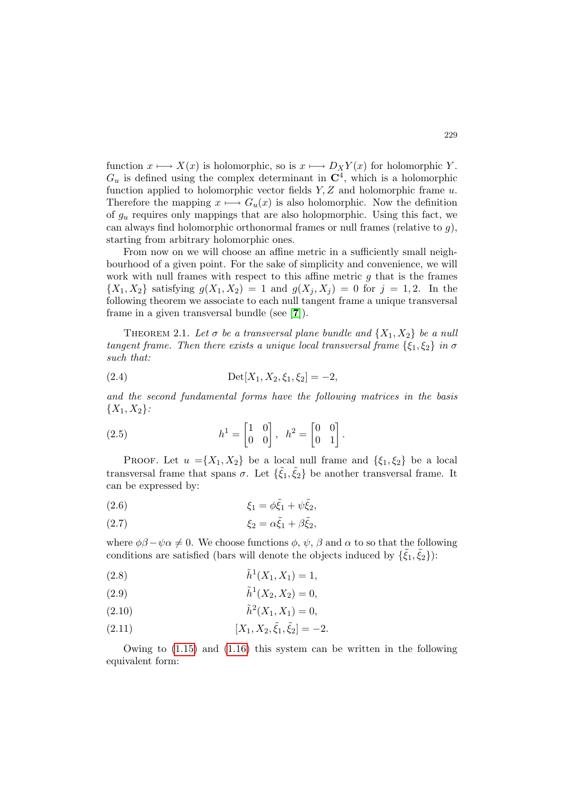function  $x \mapsto X(x)$  is holomorphic, so is  $x \mapsto D_X Y(x)$  for holomorphic Y.  $G_u$  is defined using the complex determinant in  $\mathbb{C}^4$ , which is a holomorphic function applied to holomorphic vector fields  $Y, Z$  and holomorphic frame  $u$ . Therefore the mapping  $x \mapsto G_u(x)$  is also holomorphic. Now the definition of  $g_u$  requires only mappings that are also holopmorphic. Using this fact, we can always find holomorphic orthonormal frames or null frames (relative to  $q$ ), starting from arbitrary holomorphic ones.

From now on we will choose an affine metric in a sufficiently small neighbourhood of a given point. For the sake of simplicity and convenience, we will work with null frames with respect to this affine metric  $g$  that is the frames  $\{X_1, X_2\}$  satisfying  $g(X_1, X_2) = 1$  and  $g(X_i, X_j) = 0$  for  $j = 1, 2$ . In the following theorem we associate to each null tangent frame a unique transversal frame in a given transversal bundle (see [[7](#page-19-2)]).

<span id="page-4-0"></span>THEOREM 2.1. Let  $\sigma$  be a transversal plane bundle and  $\{X_1, X_2\}$  be a null tangent frame. Then there exists a unique local transversal frame  $\{\xi_1, \xi_2\}$  in  $\sigma$ such that:

(2.4) 
$$
\text{Det}[X_1, X_2, \xi_1, \xi_2] = -2,
$$

and the second fundamental forms have the following matrices in the basis  ${X_1, X_2}$ :

(2.5) 
$$
h^{1} = \begin{bmatrix} 1 & 0 \\ 0 & 0 \end{bmatrix}, \quad h^{2} = \begin{bmatrix} 0 & 0 \\ 0 & 1 \end{bmatrix}.
$$

PROOF. Let  $u = \{X_1, X_2\}$  be a local null frame and  $\{\xi_1, \xi_2\}$  be a local transversal frame that spans  $\sigma$ . Let  $\{\tilde{\xi}_1, \tilde{\xi}_2\}$  be another transversal frame. It can be expressed by:

$$
\xi_1 = \phi \tilde{\xi}_1 + \psi \tilde{\xi}_2,
$$

$$
\xi_2 = \alpha \tilde{\xi}_1 + \beta \tilde{\xi}_2,
$$

where  $\phi\beta - \psi\alpha \neq 0$ . We choose functions  $\phi$ ,  $\psi$ ,  $\beta$  and  $\alpha$  to so that the following conditions are satisfied (bars will denote the objects induced by  $\{\tilde{\xi}_1, \tilde{\xi}_2\}$ ):

(2.8) 
$$
\tilde{h}^1(X_1, X_1) = 1,
$$

(2.9) 
$$
\tilde{h}^1(X_2, X_2) = 0,
$$

(2.10) 
$$
\tilde{h}^2(X_1, X_1) = 0,
$$

(2.11) 
$$
[X_1, X_2, \tilde{\xi}_1, \tilde{\xi}_2] = -2.
$$

Owing to [\(1.15\)](#page-2-11) and [\(1.16\)](#page-2-12) this system can be written in the following equivalent form: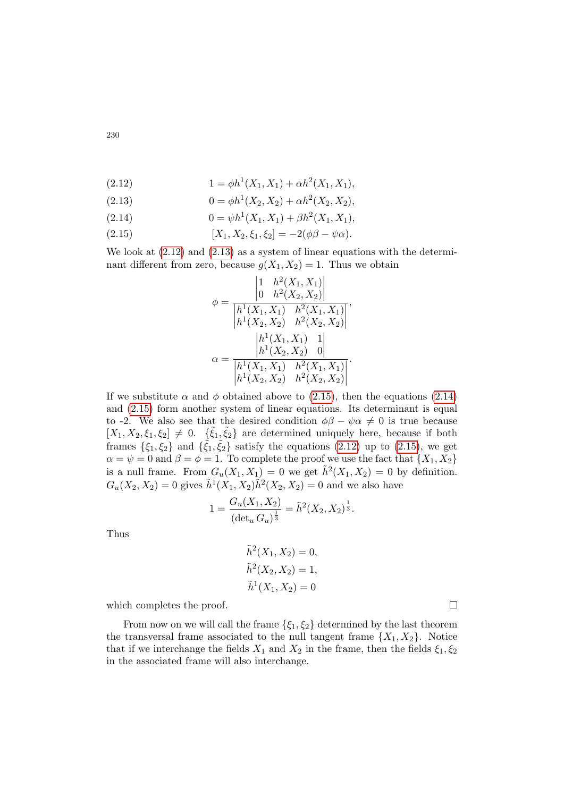<span id="page-5-0"></span>(2.12) 
$$
1 = \phi h^{1}(X_{1}, X_{1}) + \alpha h^{2}(X_{1}, X_{1}),
$$

<span id="page-5-1"></span>(2.13) 
$$
0 = \phi h^1(X_2, X_2) + \alpha h^2(X_2, X_2),
$$

<span id="page-5-3"></span>(2.14) 
$$
0 = \psi h^{1}(X_{1}, X_{1}) + \beta h^{2}(X_{1}, X_{1}),
$$

<span id="page-5-2"></span>(2.15) 
$$
[X_1, X_2, \xi_1, \xi_2] = -2(\phi\beta - \psi\alpha).
$$

We look at [\(2.12\)](#page-5-0) and [\(2.13\)](#page-5-1) as a system of linear equations with the determinant different from zero, because  $g(X_1, X_2) = 1$ . Thus we obtain

$$
\phi = \frac{\begin{vmatrix} 1 & h^2(X_1, X_1) \\ 0 & h^2(X_2, X_2) \end{vmatrix}}{\begin{vmatrix} h^1(X_1, X_1) & h^2(X_1, X_1) \\ h^1(X_2, X_2) & h^2(X_2, X_2) \end{vmatrix}},
$$

$$
\alpha = \frac{\begin{vmatrix} h^1(X_1, X_1) & 1 \\ h^1(X_2, X_2) & 0 \end{vmatrix}}{\begin{vmatrix} h^1(X_1, X_1) & h^2(X_1, X_1) \\ h^1(X_2, X_2) & h^2(X_2, X_2) \end{vmatrix}}.
$$

If we substitute  $\alpha$  and  $\phi$  obtained above to [\(2.15\)](#page-5-2), then the equations [\(2.14\)](#page-5-3) and [\(2.15\)](#page-5-2) form another system of linear equations. Its determinant is equal to -2. We also see that the desired condition  $\phi\beta - \psi\alpha \neq 0$  is true because  $[X_1, X_2, \xi_1, \xi_2] \neq 0$ .  $\{\tilde{\xi}_1, \tilde{\xi}_2\}$  are determined uniquely here, because if both frames  $\{\xi_1,\xi_2\}$  and  $\{\tilde{\xi}_1,\tilde{\xi}_2\}$  satisfy the equations [\(2.12\)](#page-5-0) up to [\(2.15\)](#page-5-2), we get  $\alpha = \psi = 0$  and  $\beta = \phi = 1$ . To complete the proof we use the fact that  $\{X_1, X_2\}$ is a null frame. From  $G_u(X_1, X_1) = 0$  we get  $\tilde{h}^2(X_1, X_2) = 0$  by definition.  $G_u(X_2, X_2) = 0$  gives  $\tilde{h}^1(X_1, X_2) \tilde{h}^2(X_2, X_2) = 0$  and we also have

$$
1 = \frac{G_u(X_1, X_2)}{(\det_u G_u)^{\frac{1}{3}}} = \tilde{h}^2(X_2, X_2)^{\frac{1}{3}}.
$$

Thus

$$
\tilde{h}^{2}(X_{1}, X_{2}) = 0,
$$
  
\n
$$
\tilde{h}^{2}(X_{2}, X_{2}) = 1,
$$
  
\n
$$
\tilde{h}^{1}(X_{1}, X_{2}) = 0
$$

which completes the proof.

From now on we will call the frame  $\{\xi_1, \xi_2\}$  determined by the last theorem the transversal frame associated to the null tangent frame  $\{X_1, X_2\}$ . Notice that if we interchange the fields  $X_1$  and  $X_2$  in the frame, then the fields  $\xi_1, \xi_2$ in the associated frame will also interchange.

230

 $\Box$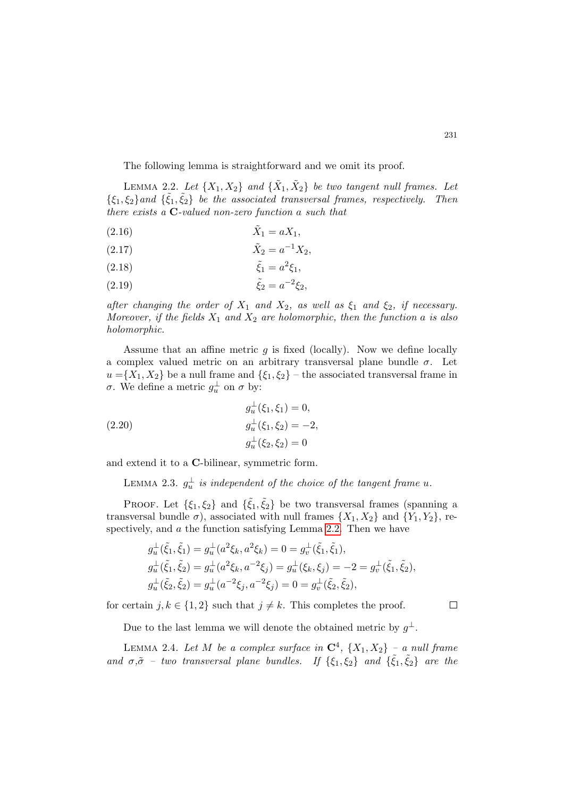The following lemma is straightforward and we omit its proof.

<span id="page-6-0"></span>LEMMA 2.2. Let  $\{X_1, X_2\}$  and  $\{\tilde{X}_1, \tilde{X}_2\}$  be two tangent null frames. Let  $\{\xi_1,\xi_2\}$  and  $\{\tilde{\xi}_1,\tilde{\xi}_2\}$  be the associated transversal frames, respectively. Then there exists a C-valued non-zero function a such that

$$
\tilde{X}_1 = aX_1,
$$

(2.17) 
$$
\tilde{X}_2 = a^{-1} X_2,
$$

(2.18) 
$$
\tilde{\xi}_1 = a^2 \xi_1,
$$

(2.19) 
$$
\tilde{\xi}_2 = a^{-2} \xi_2,
$$

after changing the order of  $X_1$  and  $X_2$ , as well as  $\xi_1$  and  $\xi_2$ , if necessary. Moreover, if the fields  $X_1$  and  $X_2$  are holomorphic, then the function a is also holomorphic.

Assume that an affine metric  $q$  is fixed (locally). Now we define locally a complex valued metric on an arbitrary transversal plane bundle  $\sigma$ . Let  $u = \{X_1, X_2\}$  be a null frame and  $\{\xi_1, \xi_2\}$  – the associated transversal frame in σ. We define a metric  $g_u^{\perp}$  on σ by:

(2.20) 
$$
g_u^{\perp}(\xi_1, \xi_1) = 0,
$$

$$
g_u^{\perp}(\xi_1, \xi_2) = -2,
$$

$$
g_u^{\perp}(\xi_2, \xi_2) = 0
$$

and extend it to a C-bilinear, symmetric form.

LEMMA 2.3.  $g_u^{\perp}$  is independent of the choice of the tangent frame u.

PROOF. Let  $\{\xi_1,\xi_2\}$  and  $\{\tilde{\xi}_1,\tilde{\xi}_2\}$  be two transversal frames (spanning a transversal bundle  $\sigma$ ), associated with null frames  $\{X_1, X_2\}$  and  $\{Y_1, Y_2\}$ , re-spectively, and a the function satisfying Lemma [2.2.](#page-6-0) Then we have

$$
g_u^{\perp}(\tilde{\xi}_1, \tilde{\xi}_1) = g_u^{\perp}(a^2 \xi_k, a^2 \xi_k) = 0 = g_v^{\perp}(\tilde{\xi}_1, \tilde{\xi}_1),
$$
  
\n
$$
g_u^{\perp}(\tilde{\xi}_1, \tilde{\xi}_2) = g_u^{\perp}(a^2 \xi_k, a^{-2} \xi_j) = g_u^{\perp}(\xi_k, \xi_j) = -2 = g_v^{\perp}(\tilde{\xi}_1, \tilde{\xi}_2),
$$
  
\n
$$
g_u^{\perp}(\tilde{\xi}_2, \tilde{\xi}_2) = g_u^{\perp}(a^{-2} \xi_j, a^{-2} \xi_j) = 0 = g_v^{\perp}(\tilde{\xi}_2, \tilde{\xi}_2),
$$

for certain  $j, k \in \{1, 2\}$  such that  $j \neq k$ . This completes the proof.

 $\Box$ 

Due to the last lemma we will denote the obtained metric by  $g^{\perp}$ .

<span id="page-6-1"></span>LEMMA 2.4. Let M be a complex surface in  $\mathbb{C}^4$ ,  $\{X_1, X_2\}$  – a null frame and  $\sigma, \tilde{\sigma}$  – two transversal plane bundles. If  $\{\xi_1, \xi_2\}$  and  $\{\tilde{\xi_1}, \tilde{\xi_2}\}$  are the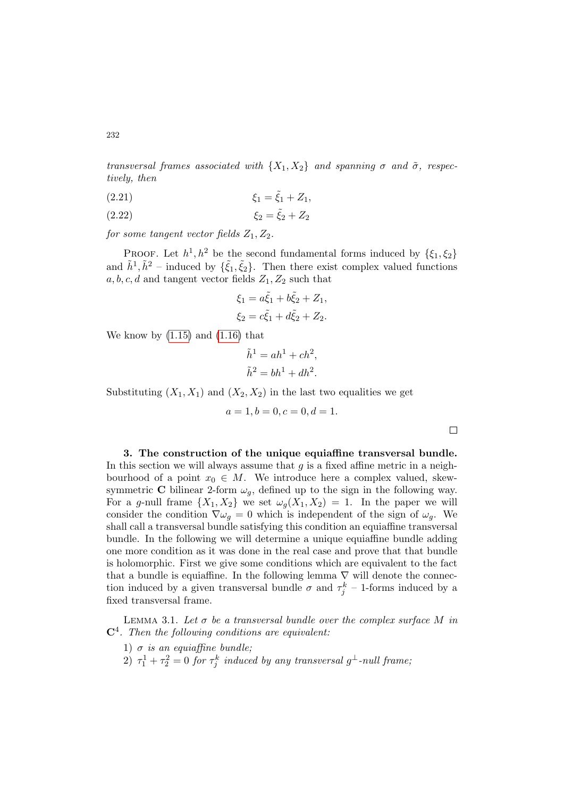transversal frames associated with  $\{X_1, X_2\}$  and spanning  $\sigma$  and  $\tilde{\sigma}$ , respectively, then

(2.21) 
$$
\xi_1 = \tilde{\xi}_1 + Z_1,
$$

(2.22) 
$$
\xi_2 = \tilde{\xi}_2 + Z_2
$$

for some tangent vector fields  $Z_1, Z_2$ .

PROOF. Let  $h^1, h^2$  be the second fundamental forms induced by  $\{\xi_1, \xi_2\}$ and  $\tilde{h}^1, \tilde{h}^2$  – induced by  $\{\tilde{\xi}_1, \tilde{\xi}_2\}$ . Then there exist complex valued functions  $a, b, c, d$  and tangent vector fields  $Z_1, Z_2$  such that

$$
\xi_1 = a\tilde{\xi}_1 + b\tilde{\xi}_2 + Z_1, \n\xi_2 = c\tilde{\xi}_1 + d\tilde{\xi}_2 + Z_2.
$$

We know by  $(1.15)$  and  $(1.16)$  that

$$
\tilde{h}^1 = ah^1 + ch^2,
$$
  

$$
\tilde{h}^2 = bh^1 + dh^2.
$$

Substituting  $(X_1, X_1)$  and  $(X_2, X_2)$  in the last two equalities we get

$$
a = 1, b = 0, c = 0, d = 1.
$$

3. The construction of the unique equiaffine transversal bundle. In this section we will always assume that  $g$  is a fixed affine metric in a neighbourhood of a point  $x_0 \in M$ . We introduce here a complex valued, skewsymmetric C bilinear 2-form  $\omega_g$ , defined up to the sign in the following way. For a g-null frame  $\{X_1, X_2\}$  we set  $\omega_q(X_1, X_2) = 1$ . In the paper we will consider the condition  $\nabla \omega_g = 0$  which is independent of the sign of  $\omega_g$ . We shall call a transversal bundle satisfying this condition an equiaffine transversal bundle. In the following we will determine a unique equiaffine bundle adding one more condition as it was done in the real case and prove that that bundle is holomorphic. First we give some conditions which are equivalent to the fact that a bundle is equiaffine. In the following lemma  $\nabla$  will denote the connection induced by a given transversal bundle  $\sigma$  and  $\tau_j^k$  – 1-forms induced by a fixed transversal frame.

<span id="page-7-0"></span>LEMMA 3.1. Let  $\sigma$  be a transversal bundle over the complex surface M in  $\mathbb{C}^4$ . Then the following conditions are equivalent:

- 1)  $\sigma$  is an equiaffine bundle;
- $2)$   $\tau_1^1 + \tau_2^2 = 0$  for  $\tau_j^k$  induced by any transversal  $g^{\perp}$ -null frame,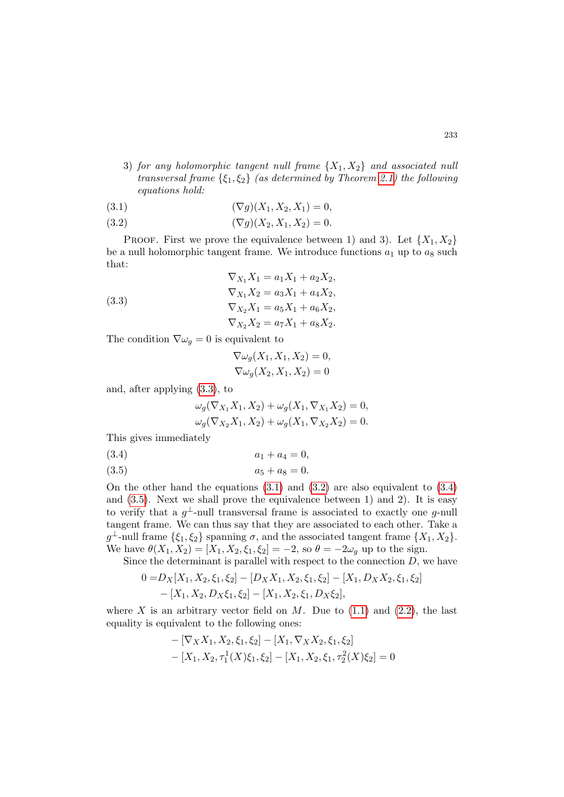3) for any holomorphic tangent null frame  $\{X_1, X_2\}$  and associated null transversal frame  $\{\xi_1, \xi_2\}$  (as determined by Theorem [2.1\)](#page-4-0) the following equations hold:

<span id="page-8-1"></span>(3.1) 
$$
(\nabla g)(X_1, X_2, X_1) = 0,
$$

<span id="page-8-2"></span>(3.2) 
$$
(\nabla g)(X_2, X_1, X_2) = 0.
$$

PROOF. First we prove the equivalence between 1) and 3). Let  $\{X_1, X_2\}$ be a null holomorphic tangent frame. We introduce functions  $a_1$  up to  $a_8$  such that:

<span id="page-8-0"></span>(3.3)  
\n
$$
\nabla_{X_1} X_1 = a_1 X_1 + a_2 X_2,
$$
\n
$$
\nabla_{X_1} X_2 = a_3 X_1 + a_4 X_2,
$$
\n
$$
\nabla_{X_2} X_1 = a_5 X_1 + a_6 X_2,
$$
\n
$$
\nabla_{X_2} X_2 = a_7 X_1 + a_8 X_2.
$$

The condition  $\nabla \omega_g = 0$  is equivalent to

$$
\nabla \omega_g(X_1, X_1, X_2) = 0,
$$
  

$$
\nabla \omega_g(X_2, X_1, X_2) = 0
$$

and, after applying [\(3.3\)](#page-8-0), to

$$
\omega_g(\nabla_{X_1} X_1, X_2) + \omega_g(X_1, \nabla_{X_1} X_2) = 0, \n\omega_g(\nabla_{X_2} X_1, X_2) + \omega_g(X_1, \nabla_{X_2} X_2) = 0.
$$

This gives immediately

<span id="page-8-3"></span>(3.4)  $a_1 + a_4 = 0,$ 

<span id="page-8-4"></span>(3.5)  $a_5 + a_8 = 0.$ 

On the other hand the equations [\(3.1\)](#page-8-1) and [\(3.2\)](#page-8-2) are also equivalent to [\(3.4\)](#page-8-3) and [\(3.5\)](#page-8-4). Next we shall prove the equivalence between 1) and 2). It is easy to verify that a  $g^{\perp}$ -null transversal frame is associated to exactly one g-null tangent frame. We can thus say that they are associated to each other. Take a  $g^{\perp}$ -null frame  $\{\xi_1, \xi_2\}$  spanning  $\sigma$ , and the associated tangent frame  $\{X_1, X_2\}$ . We have  $\theta(X_1, X_2) = [X_1, X_2, \xi_1, \xi_2] = -2$ , so  $\theta = -2\omega_q$  up to the sign.

Since the determinant is parallel with respect to the connection  $D$ , we have

$$
0 = D_X[X_1, X_2, \xi_1, \xi_2] - [D_X X_1, X_2, \xi_1, \xi_2] - [X_1, D_X X_2, \xi_1, \xi_2] - [X_1, X_2, D_X \xi_1, \xi_2] - [X_1, X_2, \xi_1, D_X \xi_2],
$$

where X is an arbitrary vector field on  $M$ . Due to  $(1.1)$  and  $(2.2)$ , the last equality is equivalent to the following ones:

$$
- [\nabla_X X_1, X_2, \xi_1, \xi_2] - [X_1, \nabla_X X_2, \xi_1, \xi_2] - [X_1, X_2, \tau_1^1(X)\xi_1, \xi_2] - [X_1, X_2, \xi_1, \tau_2^2(X)\xi_2] = 0
$$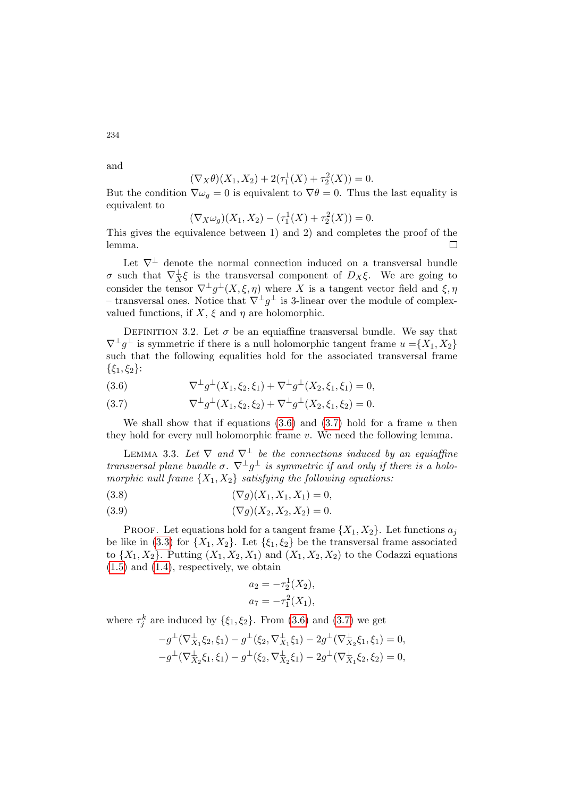and

234

$$
(\nabla_X \theta)(X_1, X_2) + 2(\tau_1^1(X) + \tau_2^2(X)) = 0.
$$

But the condition  $\nabla \omega_q = 0$  is equivalent to  $\nabla \theta = 0$ . Thus the last equality is equivalent to

$$
(\nabla_X \omega_g)(X_1, X_2) - (\tau_1^1(X) + \tau_2^2(X)) = 0.
$$

This gives the equivalence between 1) and 2) and completes the proof of the lemma.  $\Box$ 

Let  $\nabla^{\perp}$  denote the normal connection induced on a transversal bundle σ such that ∇<sup>⊥</sup> <sup>X</sup>ξ is the transversal component of DXξ. We are going to consider the tensor  $\nabla^{\perp} g^{\perp}(X,\xi,\eta)$  where X is a tangent vector field and  $\xi,\eta$ – transversal ones. Notice that  $\nabla^{\perp} g^{\perp}$  is 3-linear over the module of complexvalued functions, if  $X$ ,  $\xi$  and  $\eta$  are holomorphic.

DEFINITION 3.2. Let  $\sigma$  be an equiaffine transversal bundle. We say that  $\nabla^{\perp}g^{\perp}$  is symmetric if there is a null holomorphic tangent frame  $u = \{X_1, X_2\}$ such that the following equalities hold for the associated transversal frame  $\{\xi_1, \xi_2\}$ :

<span id="page-9-0"></span>(3.6) 
$$
\nabla^{\perp} g^{\perp}(X_1, \xi_2, \xi_1) + \nabla^{\perp} g^{\perp}(X_2, \xi_1, \xi_1) = 0,
$$

<span id="page-9-1"></span>(3.7) 
$$
\nabla^{\perp} g^{\perp}(X_1, \xi_2, \xi_2) + \nabla^{\perp} g^{\perp}(X_2, \xi_1, \xi_2) = 0.
$$

We shall show that if equations  $(3.6)$  and  $(3.7)$  hold for a frame u then they hold for every null holomorphic frame  $v$ . We need the following lemma.

<span id="page-9-2"></span>LEMMA 3.3. Let  $\nabla$  and  $\nabla^{\perp}$  be the connections induced by an equiaffine transversal plane bundle  $\sigma$ .  $\nabla^{\perp} g^{\perp}$  is symmetric if and only if there is a holomorphic null frame  $\{X_1, X_2\}$  satisfying the following equations:

<span id="page-9-3"></span>(3.8) 
$$
(\nabla g)(X_1, X_1, X_1) = 0,
$$

<span id="page-9-4"></span>(3.9) 
$$
(\nabla g)(X_2, X_2, X_2) = 0.
$$

**PROOF.** Let equations hold for a tangent frame  $\{X_1, X_2\}$ . Let functions  $a_j$ be like in [\(3.3\)](#page-8-0) for  $\{X_1, X_2\}$ . Let  $\{\xi_1, \xi_2\}$  be the transversal frame associated to  $\{X_1, X_2\}$ . Putting  $(X_1, X_2, X_1)$  and  $(X_1, X_2, X_2)$  to the Codazzi equations [\(1.5\)](#page-2-2) and [\(1.4\)](#page-2-1), respectively, we obtain

$$
a_2 = -\tau_2^1(X_2),
$$
  

$$
a_7 = -\tau_1^2(X_1),
$$

where  $\tau_j^k$  are induced by  $\{\xi_1, \xi_2\}$ . From [\(3.6\)](#page-9-0) and [\(3.7\)](#page-9-1) we get

$$
-g^{\perp}(\nabla^{\perp}_{X_1}\xi_2,\xi_1) - g^{\perp}(\xi_2,\nabla^{\perp}_{X_1}\xi_1) - 2g^{\perp}(\nabla^{\perp}_{X_2}\xi_1,\xi_1) = 0,
$$
  

$$
-g^{\perp}(\nabla^{\perp}_{X_2}\xi_1,\xi_1) - g^{\perp}(\xi_2,\nabla^{\perp}_{X_2}\xi_1) - 2g^{\perp}(\nabla^{\perp}_{X_1}\xi_2,\xi_2) = 0,
$$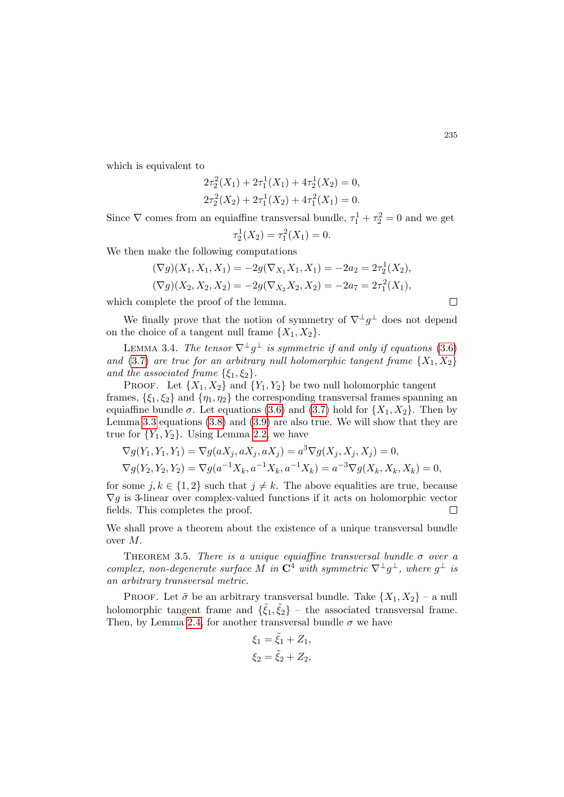which is equivalent to

$$
2\tau_2^2(X_1) + 2\tau_1^1(X_1) + 4\tau_2^1(X_2) = 0,
$$
  

$$
2\tau_2^2(X_2) + 2\tau_1^1(X_2) + 4\tau_1^2(X_1) = 0.
$$

Since  $\nabla$  comes from an equiaffine transversal bundle,  $\tau_1^1 + \tau_2^2 = 0$  and we get 1 2

$$
\tau_2^1(X_2) = \tau_1^2(X_1) = 0.
$$

We then make the following computations

$$
(\nabla g)(X_1, X_1, X_1) = -2g(\nabla_{X_1} X_1, X_1) = -2a_2 = 2\tau_2^1(X_2),
$$
  

$$
(\nabla g)(X_2, X_2, X_2) = -2g(\nabla_{X_2} X_2, X_2) = -2a_7 = 2\tau_1^2(X_1),
$$

which complete the proof of the lemma.

We finally prove that the notion of symmetry of  $\nabla^{\perp} g^{\perp}$  does not depend on the choice of a tangent null frame  $\{X_1, X_2\}$ .

LEMMA 3.4. The tensor  $\nabla^{\perp} g^{\perp}$  is symmetric if and only if equations [\(3.6\)](#page-9-0) and [\(3.7\)](#page-9-1) are true for an arbitrary null holomorphic tangent frame  $\{X_1, X_2\}$ and the associated frame  $\{\xi_1, \xi_2\}.$ 

PROOF. Let  $\{X_1, X_2\}$  and  $\{Y_1, Y_2\}$  be two null holomorphic tangent frames,  $\{\xi_1, \xi_2\}$  and  $\{\eta_1, \eta_2\}$  the corresponding transversal frames spanning an equiaffine bundle  $\sigma$ . Let equations [\(3.6\)](#page-9-0) and [\(3.7\)](#page-9-1) hold for  $\{X_1, X_2\}$ . Then by Lemma [3.3](#page-9-2) equations [\(3.8\)](#page-9-3) and [\(3.9\)](#page-9-4) are also true. We will show that they are true for  ${Y_1, Y_2}$ . Using Lemma [2.2,](#page-6-0) we have

$$
\nabla g(Y_1, Y_1, Y_1) = \nabla g(aX_j, aX_j, aX_j) = a^3 \nabla g(X_j, X_j, X_j) = 0,
$$
  

$$
\nabla g(Y_2, Y_2, Y_2) = \nabla g(a^{-1}X_k, a^{-1}X_k, a^{-1}X_k) = a^{-3} \nabla g(X_k, X_k, X_k) = 0,
$$

for some  $j, k \in \{1, 2\}$  such that  $j \neq k$ . The above equalities are true, because  $\nabla g$  is 3-linear over complex-valued functions if it acts on holomorphic vector fields. This completes the proof.  $\Box$ 

We shall prove a theorem about the existence of a unique transversal bundle over M.

<span id="page-10-0"></span>THEOREM 3.5. There is a unique equiaffine transversal bundle  $\sigma$  over a complex, non-degenerate surface M in  $\mathbb{C}^4$  with symmetric  $\nabla^{\perp} g^{\perp}$ , where  $g^{\perp}$  is an arbitrary transversal metric.

PROOF. Let  $\tilde{\sigma}$  be an arbitrary transversal bundle. Take  $\{X_1, X_2\}$  – a null holomorphic tangent frame and  $\{\tilde{\xi}_1, \tilde{\xi}_2\}$  – the associated transversal frame. Then, by Lemma [2.4,](#page-6-1) for another transversal bundle  $\sigma$  we have

$$
\xi_1 = \tilde{\xi}_1 + Z_1, \n\xi_2 = \tilde{\xi}_2 + Z_2,
$$

 $\Box$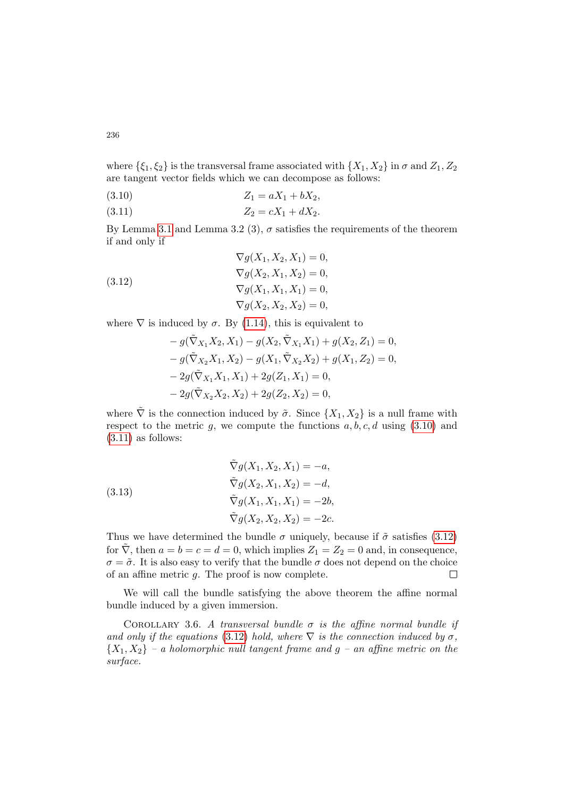where  $\{\xi_1, \xi_2\}$  is the transversal frame associated with  $\{X_1, X_2\}$  in  $\sigma$  and  $Z_1, Z_2$ are tangent vector fields which we can decompose as follows:

<span id="page-11-0"></span>
$$
(3.10) \t\t Z_1 = aX_1 + bX_2,
$$

<span id="page-11-1"></span>(3.11)  $Z_2 = cX_1 + dX_2.$ 

By Lemma [3.1](#page-7-0) and Lemma 3.2 (3),  $\sigma$  satisfies the requirements of the theorem if and only if

<span id="page-11-2"></span>(3.12)  
\n
$$
\nabla g(X_1, X_2, X_1) = 0,
$$
\n
$$
\nabla g(X_2, X_1, X_2) = 0,
$$
\n
$$
\nabla g(X_1, X_1, X_1) = 0,
$$
\n
$$
\nabla g(X_2, X_2, X_2) = 0,
$$

where  $\nabla$  is induced by  $\sigma$ . By [\(1.14\)](#page-2-13), this is equivalent to

$$
- g(\tilde{\nabla}_{X_1} X_2, X_1) - g(X_2, \tilde{\nabla}_{X_1} X_1) + g(X_2, Z_1) = 0,
$$
  
\n
$$
- g(\tilde{\nabla}_{X_2} X_1, X_2) - g(X_1, \tilde{\nabla}_{X_2} X_2) + g(X_1, Z_2) = 0,
$$
  
\n
$$
- 2g(\tilde{\nabla}_{X_1} X_1, X_1) + 2g(Z_1, X_1) = 0,
$$
  
\n
$$
- 2g(\tilde{\nabla}_{X_2} X_2, X_2) + 2g(Z_2, X_2) = 0,
$$

where  $\tilde{\nabla}$  is the connection induced by  $\tilde{\sigma}$ . Since  $\{X_1, X_2\}$  is a null frame with respect to the metric  $g$ , we compute the functions  $a, b, c, d$  using  $(3.10)$  and  $(3.11)$  as follows:

(3.13)  
\n
$$
\tilde{\nabla}g(X_1, X_2, X_1) = -a,
$$
\n
$$
\tilde{\nabla}g(X_2, X_1, X_2) = -d,
$$
\n
$$
\tilde{\nabla}g(X_1, X_1, X_1) = -2b,
$$
\n
$$
\tilde{\nabla}g(X_2, X_2, X_2) = -2c.
$$

Thus we have determined the bundle  $\sigma$  uniquely, because if  $\tilde{\sigma}$  satisfies [\(3.12\)](#page-11-2) for  $\nabla$ , then  $a = b = c = d = 0$ , which implies  $Z_1 = Z_2 = 0$  and, in consequence,  $\sigma = \tilde{\sigma}$ . It is also easy to verify that the bundle  $\sigma$  does not depend on the choice of an affine metric  $q$ . The proof is now complete.  $\Box$ 

We will call the bundle satisfying the above theorem the affine normal bundle induced by a given immersion.

<span id="page-11-3"></span>COROLLARY 3.6. A transversal bundle  $\sigma$  is the affine normal bundle if and only if the equations [\(3.12\)](#page-11-2) hold, where  $\nabla$  is the connection induced by  $\sigma$ ,  ${X_1, X_2}$  – a holomorphic null tangent frame and  $g$  – an affine metric on the surface.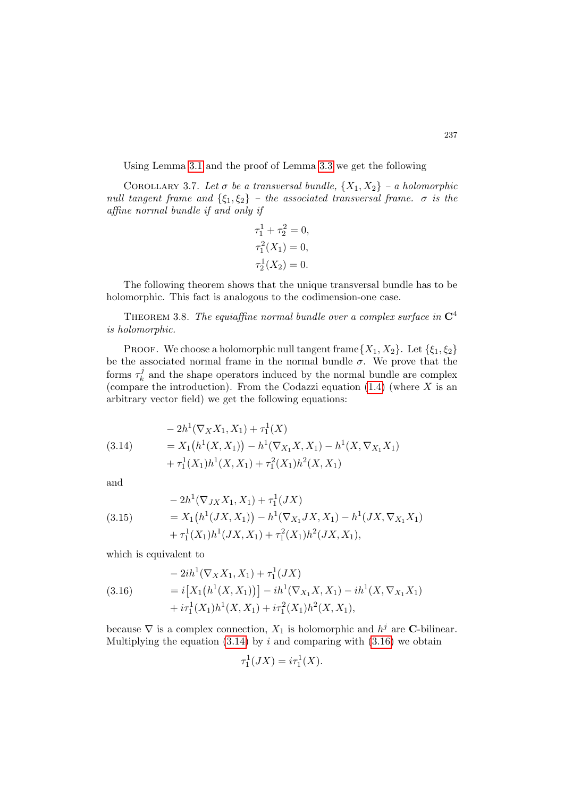Using Lemma [3.1](#page-7-0) and the proof of Lemma [3.3](#page-9-2) we get the following

COROLLARY 3.7. Let  $\sigma$  be a transversal bundle,  $\{X_1, X_2\}$  – a holomorphic null tangent frame and  $\{\xi_1, \xi_2\}$  – the associated transversal frame.  $\sigma$  is the affine normal bundle if and only if

$$
\tau_1^1 + \tau_2^2 = 0,
$$
  
\n
$$
\tau_1^2(X_1) = 0,
$$
  
\n
$$
\tau_2^1(X_2) = 0.
$$

The following theorem shows that the unique transversal bundle has to be holomorphic. This fact is analogous to the codimension-one case.

THEOREM 3.8. The equiaffine normal bundle over a complex surface in  $\mathbb{C}^4$ is holomorphic.

PROOF. We choose a holomorphic null tangent frame  $\{X_1, X_2\}$ . Let  $\{\xi_1, \xi_2\}$ be the associated normal frame in the normal bundle  $\sigma$ . We prove that the forms  $\tau_k^j$  $\mathbf{k}$  and the shape operators induced by the normal bundle are complex (compare the introduction). From the Codazzi equation  $(1.4)$  (where X is an arbitrary vector field) we get the following equations:

<span id="page-12-0"></span>
$$
(3.14) \qquad \qquad - 2h^1(\nabla_X X_1, X_1) + \tau_1^1(X) \n= X_1(h^1(X, X_1)) - h^1(\nabla_{X_1} X, X_1) - h^1(X, \nabla_{X_1} X_1) \n+ \tau_1^1(X_1)h^1(X, X_1) + \tau_1^2(X_1)h^2(X, X_1)
$$

and

$$
(3.15) \qquad \qquad - 2h^1(\nabla_{JX}X_1, X_1) + \tau_1^1(JX) \n= X_1(h^1(JX, X_1)) - h^1(\nabla_{X_1}JX, X_1) - h^1(JX, \nabla_{X_1}X_1) \n+ \tau_1^1(X_1)h^1(JX, X_1) + \tau_1^2(X_1)h^2(JX, X_1),
$$

which is equivalent to

<span id="page-12-1"></span>
$$
(3.16) \qquad \qquad -2ih^{1}(\nabla_{X}X_{1}, X_{1}) + \tau_{1}^{1}(JX) \n= i[X_{1}(h^{1}(X, X_{1}))] - ih^{1}(\nabla_{X_{1}}X, X_{1}) - ih^{1}(X, \nabla_{X_{1}}X_{1}) \n+ i\tau_{1}^{1}(X_{1})h^{1}(X, X_{1}) + i\tau_{1}^{2}(X_{1})h^{2}(X, X_{1}),
$$

because  $\nabla$  is a complex connection,  $X_1$  is holomorphic and  $h^j$  are **C**-bilinear. Multiplying the equation  $(3.14)$  by i and comparing with  $(3.16)$  we obtain

$$
\tau_1^1(JX) = i\tau_1^1(X).
$$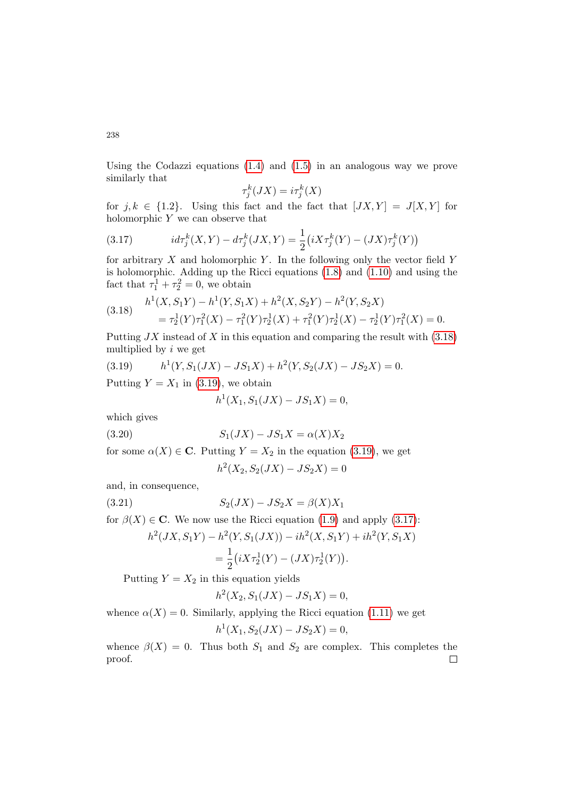Using the Codazzi equations [\(1.4\)](#page-2-1) and [\(1.5\)](#page-2-2) in an analogous way we prove similarly that

$$
\tau_j^k(JX) = i\tau_j^k(X)
$$

for  $j, k \in \{1.2\}$ . Using this fact and the fact that  $[JX, Y] = J[X, Y]$  for holomorphic  $Y$  we can observe that

<span id="page-13-2"></span>(3.17) 
$$
id\tau_j^k(X,Y) - d\tau_j^k(JX,Y) = \frac{1}{2} (iX\tau_j^k(Y) - (JX)\tau_j^k(Y))
$$

for arbitrary  $X$  and holomorphic  $Y$ . In the following only the vector field  $Y$ is holomorphic. Adding up the Ricci equations [\(1.8\)](#page-2-5) and [\(1.10\)](#page-2-7) and using the fact that  $\tau_1^1 + \tau_2^2 = 0$ , we obtain

<span id="page-13-0"></span>(3.18) 
$$
h^{1}(X, S_{1}Y) - h^{1}(Y, S_{1}X) + h^{2}(X, S_{2}Y) - h^{2}(Y, S_{2}X)
$$

$$
= \tau_{2}^{1}(Y)\tau_{1}^{2}(X) - \tau_{1}^{2}(Y)\tau_{2}^{1}(X) + \tau_{1}^{2}(Y)\tau_{2}^{1}(X) - \tau_{2}^{1}(Y)\tau_{1}^{2}(X) = 0.
$$

Putting  $JX$  instead of X in this equation and comparing the result with  $(3.18)$ multiplied by  $i$  we get

<span id="page-13-1"></span>(3.19) 
$$
h^{1}(Y, S_{1}(JX) - JS_{1}X) + h^{2}(Y, S_{2}(JX) - JS_{2}X) = 0.
$$

Putting  $Y = X_1$  in [\(3.19\)](#page-13-1), we obtain

$$
h^{1}(X_{1}, S_{1}(JX) - JS_{1}X) = 0,
$$

which gives

(3.20) 
$$
S_1(JX) - JS_1X = \alpha(X)X_2
$$

for some  $\alpha(X) \in \mathbb{C}$ . Putting  $Y = X_2$  in the equation [\(3.19\)](#page-13-1), we get

$$
h^{2}(X_{2}, S_{2}(JX) - JS_{2}X) = 0
$$

and, in consequence,

(3.21) 
$$
S_2(JX) - JS_2X = \beta(X)X_1
$$

for  $\beta(X) \in \mathbb{C}$ . We now use the Ricci equation [\(1.9\)](#page-2-6) and apply [\(3.17\)](#page-13-2):

$$
h^{2}(JX, S_{1}Y) - h^{2}(Y, S_{1}(JX)) - ih^{2}(X, S_{1}Y) + ih^{2}(Y, S_{1}X)
$$
  
= 
$$
\frac{1}{2}(iX\tau_{2}^{1}(Y) - (JX)\tau_{2}^{1}(Y)).
$$

Putting  $Y = X_2$  in this equation yields

$$
h^2(X_2, S_1(JX) - JS_1X) = 0,
$$

whence  $\alpha(X) = 0$ . Similarly, applying the Ricci equation [\(1.11\)](#page-2-8) we get

$$
h^1(X_1, S_2(JX) - JS_2X) = 0,
$$

whence  $\beta(X) = 0$ . Thus both  $S_1$  and  $S_2$  are complex. This completes the proof. $\Box$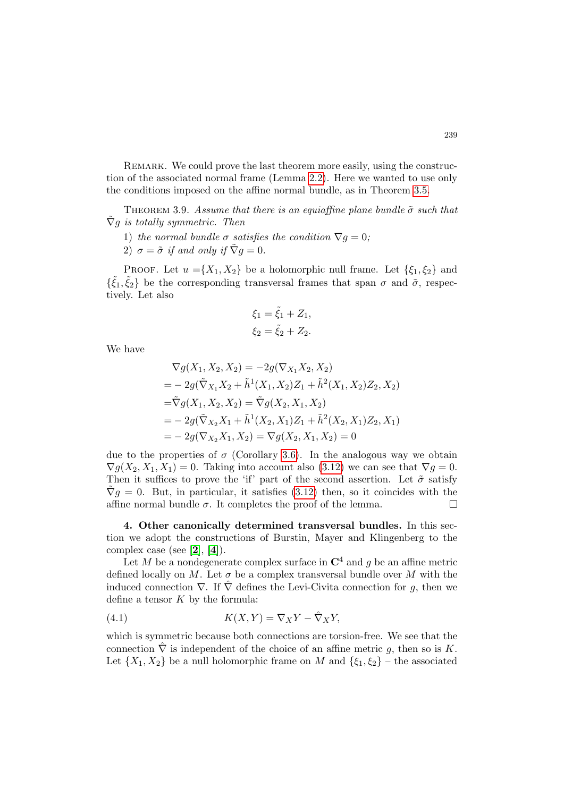Remark. We could prove the last theorem more easily, using the construction of the associated normal frame (Lemma [2.2\)](#page-6-0). Here we wanted to use only the conditions imposed on the affine normal bundle, as in Theorem [3.5.](#page-10-0)

THEOREM 3.9. Assume that there is an equiaffine plane bundle  $\tilde{\sigma}$  such that  $\tilde{\nabla}q$  is totally symmetric. Then

- 1) the normal bundle  $\sigma$  satisfies the condition  $\nabla g = 0$ ;
- 2)  $\sigma = \tilde{\sigma}$  if and only if  $\tilde{\nabla} q = 0$ .

PROOF. Let  $u = \{X_1, X_2\}$  be a holomorphic null frame. Let  $\{\xi_1, \xi_2\}$  and  $\{\tilde{\xi}_1, \tilde{\xi}_2\}$  be the corresponding transversal frames that span  $\sigma$  and  $\tilde{\sigma}$ , respectively. Let also

$$
\xi_1 = \tilde{\xi}_1 + Z_1, \n\xi_2 = \tilde{\xi}_2 + Z_2.
$$

We have

$$
\nabla g(X_1, X_2, X_2) = -2g(\nabla_{X_1} X_2, X_2)
$$
  
=  $-2g(\tilde{\nabla}_{X_1} X_2 + \tilde{h}^1(X_1, X_2)Z_1 + \tilde{h}^2(X_1, X_2)Z_2, X_2)$   
=  $\tilde{\nabla}g(X_1, X_2, X_2) = \tilde{\nabla}g(X_2, X_1, X_2)$   
=  $-2g(\tilde{\nabla}_{X_2} X_1 + \tilde{h}^1(X_2, X_1)Z_1 + \tilde{h}^2(X_2, X_1)Z_2, X_1)$   
=  $-2g(\nabla_{X_2} X_1, X_2) = \nabla g(X_2, X_1, X_2) = 0$ 

due to the properties of  $\sigma$  (Corollary [3.6\)](#page-11-3). In the analogous way we obtain  $\nabla g(X_2, X_1, X_1) = 0$ . Taking into account also [\(3.12\)](#page-11-2) we can see that  $\nabla g = 0$ . Then it suffices to prove the 'if' part of the second assertion. Let  $\tilde{\sigma}$  satisfy  $\tilde{\nabla}q=0$ . But, in particular, it satisfies [\(3.12\)](#page-11-2) then, so it coincides with the affine normal bundle  $\sigma$ . It completes the proof of the lemma. ┍

4. Other canonically determined transversal bundles. In this section we adopt the constructions of Burstin, Mayer and Klingenberg to the complex case (see [[2](#page-19-0)], [[4](#page-19-1)]).

Let M be a nondegenerate complex surface in  $\mathbb{C}^4$  and g be an affine metric defined locally on M. Let  $\sigma$  be a complex transversal bundle over M with the induced connection  $\nabla$ . If  $\hat{\nabla}$  defines the Levi-Civita connection for g, then we define a tensor  $K$  by the formula:

<span id="page-14-0"></span>(4.1) 
$$
K(X,Y) = \nabla_X Y - \hat{\nabla}_X Y,
$$

which is symmetric because both connections are torsion-free. We see that the connection  $\hat{\nabla}$  is independent of the choice of an affine metric g, then so is K. Let  $\{X_1, X_2\}$  be a null holomorphic frame on M and  $\{\xi_1, \xi_2\}$  – the associated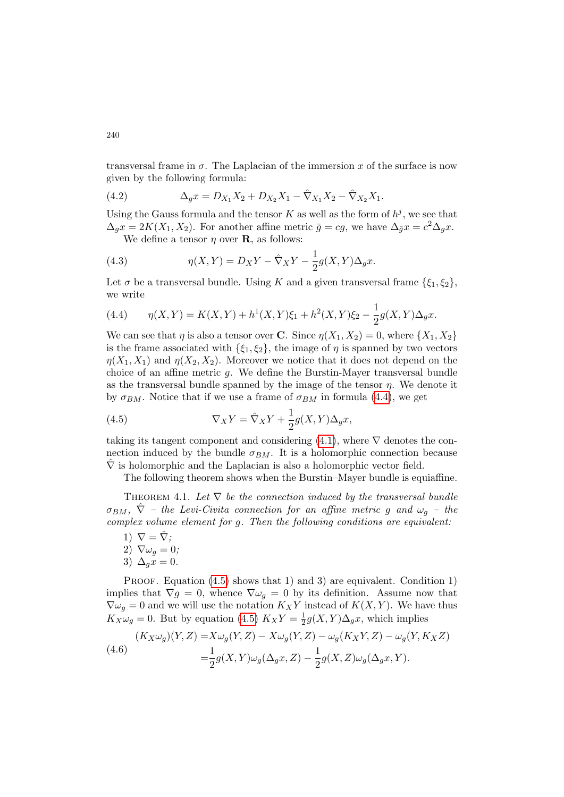transversal frame in  $\sigma$ . The Laplacian of the immersion x of the surface is now given by the following formula:

(4.2) 
$$
\Delta_g x = D_{X_1} X_2 + D_{X_2} X_1 - \hat{\nabla}_{X_1} X_2 - \hat{\nabla}_{X_2} X_1.
$$

Using the Gauss formula and the tensor K as well as the form of  $h^j$ , we see that  $\Delta_g x = 2K(X_1, X_2)$ . For another affine metric  $\bar{g} = cg$ , we have  $\Delta_{\bar{g}} x = c^2 \Delta_g x$ .

We define a tensor  $\eta$  over **R**, as follows:

(4.3) 
$$
\eta(X,Y) = D_X Y - \hat{\nabla}_X Y - \frac{1}{2} g(X,Y) \Delta_g x.
$$

Let  $\sigma$  be a transversal bundle. Using K and a given transversal frame  $\{\xi_1, \xi_2\}$ , we write

<span id="page-15-0"></span>(4.4) 
$$
\eta(X,Y) = K(X,Y) + h^1(X,Y)\xi_1 + h^2(X,Y)\xi_2 - \frac{1}{2}g(X,Y)\Delta_g x.
$$

We can see that  $\eta$  is also a tensor over **C**. Since  $\eta(X_1, X_2) = 0$ , where  $\{X_1, X_2\}$ is the frame associated with  $\{\xi_1, \xi_2\}$ , the image of  $\eta$  is spanned by two vectors  $\eta(X_1, X_1)$  and  $\eta(X_2, X_2)$ . Moreover we notice that it does not depend on the choice of an affine metric g. We define the Burstin-Mayer transversal bundle as the transversal bundle spanned by the image of the tensor  $\eta$ . We denote it by  $\sigma_{BM}$ . Notice that if we use a frame of  $\sigma_{BM}$  in formula [\(4.4\)](#page-15-0), we get

<span id="page-15-1"></span>(4.5) 
$$
\nabla_X Y = \hat{\nabla}_X Y + \frac{1}{2} g(X, Y) \Delta_g x,
$$

taking its tangent component and considering  $(4.1)$ , where  $\nabla$  denotes the connection induced by the bundle  $\sigma_{BM}$ . It is a holomorphic connection because  $\nabla$  is holomorphic and the Laplacian is also a holomorphic vector field.

The following theorem shows when the Burstin–Mayer bundle is equiaffine.

THEOREM 4.1. Let  $\nabla$  be the connection induced by the transversal bundle  $\sigma_{BM}$ ,  $\hat{\nabla}$  – the Levi-Civita connection for an affine metric g and  $\omega_g$  – the complex volume element for g. Then the following conditions are equivalent:

1)  $\nabla = \hat{\nabla}$ ; 2)  $\nabla \omega_g = 0;$ 3)  $\Delta_a x = 0$ .

PROOF. Equation  $(4.5)$  shows that 1) and 3) are equivalent. Condition 1) implies that  $\nabla g = 0$ , whence  $\nabla \omega_g = 0$  by its definition. Assume now that  $\nabla \omega_g = 0$  and we will use the notation  $K_X Y$  instead of  $K(X, Y)$ . We have thus  $K_X \omega_g = 0$ . But by equation [\(4.5\)](#page-15-1)  $K_X Y = \frac{1}{2}$  $\frac{1}{2}g(X,Y)\Delta_g x$ , which implies

<span id="page-15-2"></span>(4.6) 
$$
(K_X \omega_g)(Y, Z) = X \omega_g(Y, Z) - X \omega_g(Y, Z) - \omega_g(K_X Y, Z) - \omega_g(Y, K_X Z)
$$

$$
= \frac{1}{2} g(X, Y) \omega_g(\Delta_g x, Z) - \frac{1}{2} g(X, Z) \omega_g(\Delta_g x, Y).
$$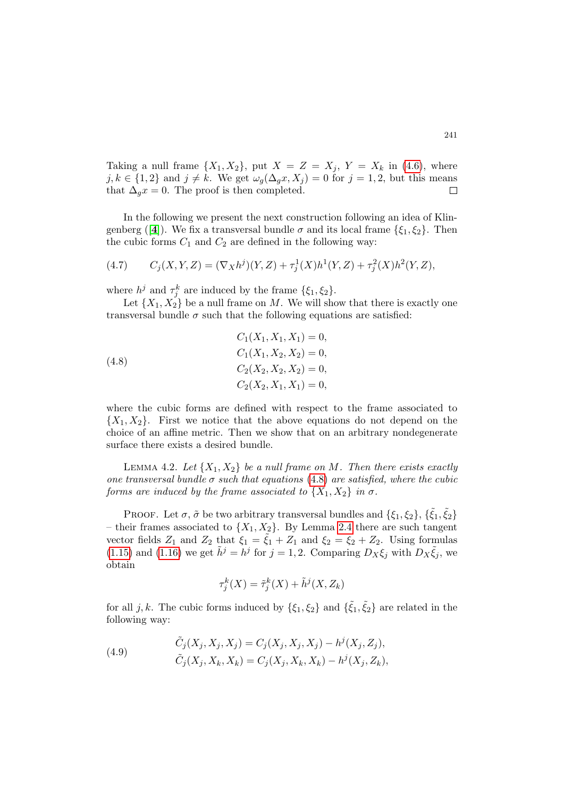Taking a null frame  $\{X_1, X_2\}$ , put  $X = Z = X_j$ ,  $Y = X_k$  in [\(4.6\)](#page-15-2), where  $j, k \in \{1, 2\}$  and  $j \neq k$ . We get  $\omega_g(\Delta_g x, X_j) = 0$  for  $j = 1, 2$ , but this means that  $\Delta_q x = 0$ . The proof is then completed.  $\Box$ 

In the following we present the next construction following an idea of Klin-genberg ([[4](#page-19-1)]). We fix a transversal bundle  $\sigma$  and its local frame  $\{\xi_1, \xi_2\}$ . Then the cubic forms  $C_1$  and  $C_2$  are defined in the following way:

(4.7) 
$$
C_j(X, Y, Z) = (\nabla_X h^j)(Y, Z) + \tau_j^1(X)h^1(Y, Z) + \tau_j^2(X)h^2(Y, Z),
$$

where  $h^j$  and  $\tau_j^k$  are induced by the frame  $\{\xi_1, \xi_2\}.$ 

Let  $\{X_1, X_2\}$  be a null frame on M. We will show that there is exactly one transversal bundle  $\sigma$  such that the following equations are satisfied:

<span id="page-16-0"></span>(4.8)  
\n
$$
C_1(X_1, X_1, X_1) = 0,
$$
\n
$$
C_1(X_1, X_2, X_2) = 0,
$$
\n
$$
C_2(X_2, X_2, X_2) = 0,
$$
\n
$$
C_2(X_2, X_1, X_1) = 0,
$$

where the cubic forms are defined with respect to the frame associated to  ${X_1, X_2}$ . First we notice that the above equations do not depend on the choice of an affine metric. Then we show that on an arbitrary nondegenerate surface there exists a desired bundle.

<span id="page-16-2"></span>LEMMA 4.2. Let  $\{X_1, X_2\}$  be a null frame on M. Then there exists exactly one transversal bundle  $\sigma$  such that equations [\(4.8\)](#page-16-0) are satisfied, where the cubic forms are induced by the frame associated to  $\{X_1, X_2\}$  in  $\sigma$ .

PROOF. Let  $\sigma$ ,  $\tilde{\sigma}$  be two arbitrary transversal bundles and  $\{\xi_1, \xi_2\}$ ,  $\{\tilde{\xi_1}, \tilde{\xi_2}\}$ – their frames associated to  $\{X_1, X_2\}$ . By Lemma [2.4](#page-6-1) there are such tangent vector fields  $Z_1$  and  $Z_2$  that  $\xi_1 = \tilde{\xi}_1 + Z_1$  and  $\xi_2 = \tilde{\xi}_2 + Z_2$ . Using formulas [\(1.15\)](#page-2-11) and [\(1.16\)](#page-2-12) we get  $\tilde{h}^j = h^j$  for  $j = 1, 2$ . Comparing  $D_X \xi_j$  with  $D_X \tilde{\xi}_j$ , we obtain

$$
\tau_j^k(X) = \tilde{\tau}_j^k(X) + \tilde{h}^j(X, Z_k)
$$

for all j, k. The cubic forms induced by  $\{\xi_1, \xi_2\}$  and  $\{\tilde{\xi}_1, \tilde{\xi}_2\}$  are related in the following way:

<span id="page-16-1"></span>(4.9) 
$$
\tilde{C}_j(X_j, X_j, X_j) = C_j(X_j, X_j, X_j) - h^j(X_j, Z_j), \n\tilde{C}_j(X_j, X_k, X_k) = C_j(X_j, X_k, X_k) - h^j(X_j, Z_k),
$$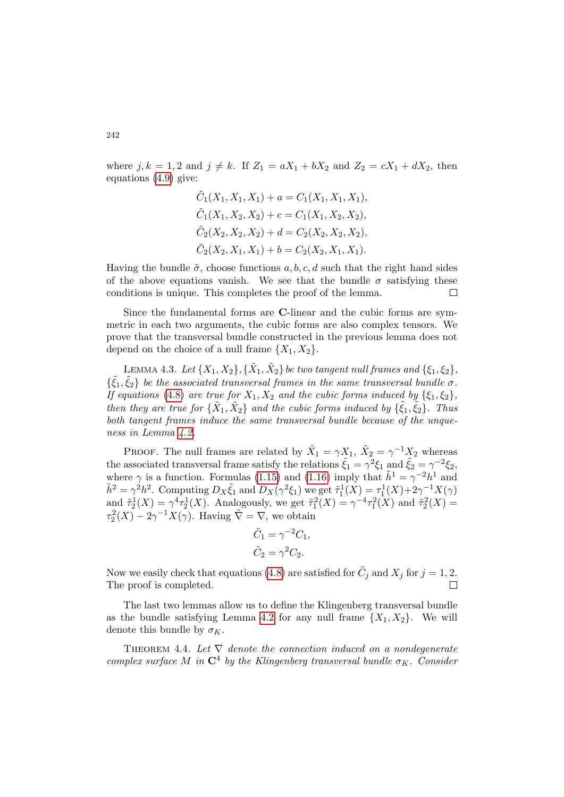where  $j, k = 1, 2$  and  $j \neq k$ . If  $Z_1 = aX_1 + bX_2$  and  $Z_2 = cX_1 + dX_2$ , then equations [\(4.9\)](#page-16-1) give:

$$
\tilde{C}_1(X_1, X_1, X_1) + a = C_1(X_1, X_1, X_1),
$$
  
\n
$$
\tilde{C}_1(X_1, X_2, X_2) + c = C_1(X_1, X_2, X_2),
$$
  
\n
$$
\tilde{C}_2(X_2, X_2, X_2) + d = C_2(X_2, X_2, X_2),
$$
  
\n
$$
\tilde{C}_2(X_2, X_1, X_1) + b = C_2(X_2, X_1, X_1).
$$

Having the bundle  $\tilde{\sigma}$ , choose functions  $a, b, c, d$  such that the right hand sides of the above equations vanish. We see that the bundle  $\sigma$  satisfying these conditions is unique. This completes the proof of the lemma.  $\Box$ 

Since the fundamental forms are C-linear and the cubic forms are symmetric in each two arguments, the cubic forms are also complex tensors. We prove that the transversal bundle constructed in the previous lemma does not depend on the choice of a null frame  $\{X_1, X_2\}$ .

LEMMA 4.3. Let  $\{X_1,X_2\}, \{\tilde{X}_1,\tilde{X}_2\}$  be two tangent null frames and  $\{\xi_1,\xi_2\},$  $\{\tilde{\xi}_1,\tilde{\xi}_2\}$  be the associated transversal frames in the same transversal bundle  $\sigma$ . If equations [\(4.8\)](#page-16-0) are true for  $X_1, X_2$  and the cubic forms induced by  $\{\xi_1, \xi_2\}$ , then they are true for  $\{\tilde{X}_1, \tilde{X}_2\}$  and the cubic forms induced by  $\{\tilde{\xi}_1, \tilde{\xi}_2\}$ . Thus both tangent frames induce the same transversal bundle because of the unqueness in Lemma [4.2.](#page-16-2)

PROOF. The null frames are related by  $\tilde{X}_1 = \gamma X_1$ ,  $\tilde{X}_2 = \gamma^{-1} X_2$  whereas the associated transversal frame satisfy the relations  $\tilde{\xi}_1 = \gamma^2 \xi_1$  and  $\tilde{\xi}_2 = \gamma^{-2} \xi_2$ , where  $\gamma$  is a function. Formulas [\(1.15\)](#page-2-11) and [\(1.16\)](#page-2-12) imply that  $\tilde{h}^1 = \gamma^{-2} h^1$  and  $\tilde{h}^2 = \gamma^2 h^2$ . Computing  $D_X \tilde{\xi}_1$  and  $D_X(\gamma^2 \xi_1)$  we get  $\tilde{\tau}_1^1(X) = \tau_1^1(X) + 2\gamma^{-1}X(\gamma)$ and  $\tilde{\tau}_2^1(X) = \gamma^4 \tau_2^1(X)$ . Analogously, we get  $\tilde{\tau}_1^2(X) = \gamma^{-4} \tau_1^2(X)$  and  $\tilde{\tau}_2^2(X) =$  $\tau_2^2(X) - 2\gamma^{-1}X(\gamma)$ . Having  $\tilde{\nabla} = \nabla$ , we obtain

$$
\tilde{C}_1 = \gamma^{-2} C_1,
$$
  

$$
\tilde{C}_2 = \gamma^2 C_2.
$$

Now we easily check that equations [\(4.8\)](#page-16-0) are satisfied for  $\tilde{C}_j$  and  $X_j$  for  $j = 1, 2$ . The proof is completed.

The last two lemmas allow us to define the Klingenberg transversal bundle as the bundle satisfying Lemma [4.2](#page-16-2) for any null frame  $\{X_1, X_2\}$ . We will denote this bundle by  $\sigma_K$ .

THEOREM 4.4. Let  $\nabla$  denote the connection induced on a nondegenerate complex surface M in  $\mathbb{C}^4$  by the Klingenberg transversal bundle  $\sigma_K$ . Consider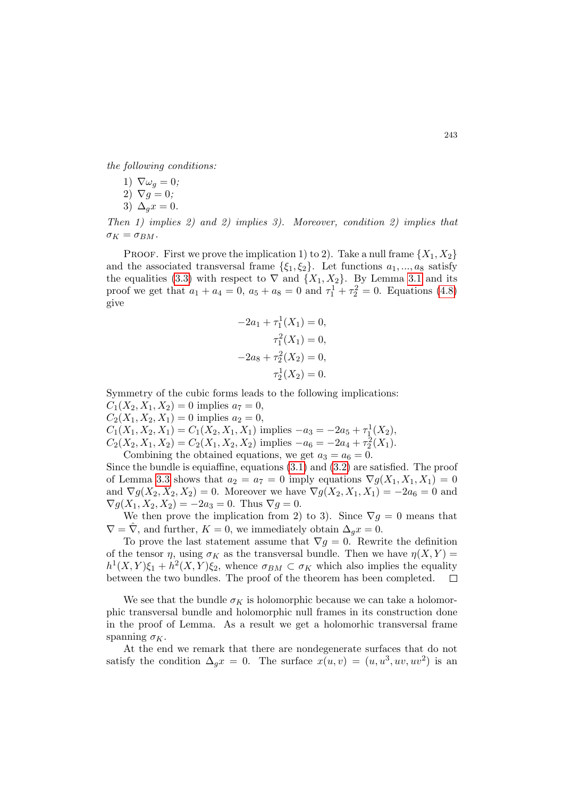the following conditions:

- 1)  $\nabla \omega_q = 0$ ;
- 2)  $\nabla q = 0$ ;
- 3)  $\Delta_a x = 0$ .

Then 1) implies 2) and 2) implies 3). Moreover, condition 2) implies that  $\sigma_K = \sigma_{BM}.$ 

PROOF. First we prove the implication 1) to 2). Take a null frame  $\{X_1, X_2\}$ and the associated transversal frame  $\{\xi_1, \xi_2\}$ . Let functions  $a_1, ..., a_8$  satisfy the equalities [\(3.3\)](#page-8-0) with respect to  $\nabla$  and  $\{X_1, X_2\}$ . By Lemma [3.1](#page-7-0) and its proof we get that  $a_1 + a_4 = 0$ ,  $a_5 + a_8 = 0$  and  $\tau_1^1 + \tau_2^2 = 0$ . Equations [\(4.8\)](#page-16-0) give

$$
-2a_1 + \tau_1^1(X_1) = 0,
$$
  
\n
$$
\tau_1^2(X_1) = 0,
$$
  
\n
$$
-2a_8 + \tau_2^2(X_2) = 0,
$$
  
\n
$$
\tau_2^1(X_2) = 0.
$$

Symmetry of the cubic forms leads to the following implications:  $C_1(X_2, X_1, X_2) = 0$  implies  $a_7 = 0$ ,  $C_2(X_1, X_2, X_1) = 0$  implies  $a_2 = 0$ ,  $C_1(X_1, X_2, X_1) = C_1(X_2, X_1, X_1)$  implies  $-a_3 = -2a_5 + \tau_1^1(X_2)$ ,  $C_2(X_2, X_1, X_2) = C_2(X_1, X_2, X_2)$  implies  $-a_6 = -2a_4 + \tau_2^2(X_1)$ . Combining the obtained equations, we get  $a_3 = a_6 = 0$ .

Since the bundle is equiaffine, equations [\(3.1\)](#page-8-1) and [\(3.2\)](#page-8-2) are satisfied. The proof of Lemma [3.3](#page-9-2) shows that  $a_2 = a_7 = 0$  imply equations  $\nabla g(X_1, X_1, X_1) = 0$ and  $\nabla g(X_2, X_2, X_2) = 0$ . Moreover we have  $\nabla g(X_2, X_1, X_1) = -2a_6 = 0$  and  $\nabla g(X_1, X_2, X_2) = -2a_3 = 0.$  Thus  $\nabla g = 0.$ 

We then prove the implication from 2) to 3). Since  $\nabla g = 0$  means that  $\nabla = \nabla$ , and further,  $K = 0$ , we immediately obtain  $\Delta_q x = 0$ .

To prove the last statement assume that  $\nabla g = 0$ . Rewrite the definition of the tensor  $\eta$ , using  $\sigma_K$  as the transversal bundle. Then we have  $\eta(X, Y) =$  $h^1(X,Y)\xi_1 + h^2(X,Y)\xi_2$ , whence  $\sigma_{BM} \subset \sigma_K$  which also implies the equality between the two bundles. The proof of the theorem has been completed.  $\Box$ 

We see that the bundle  $\sigma_K$  is holomorphic because we can take a holomorphic transversal bundle and holomorphic null frames in its construction done in the proof of Lemma. As a result we get a holomorhic transversal frame spanning  $\sigma_K$ .

At the end we remark that there are nondegenerate surfaces that do not satisfy the condition  $\Delta_g x = 0$ . The surface  $x(u, v) = (u, u^3, uv, uv^2)$  is an